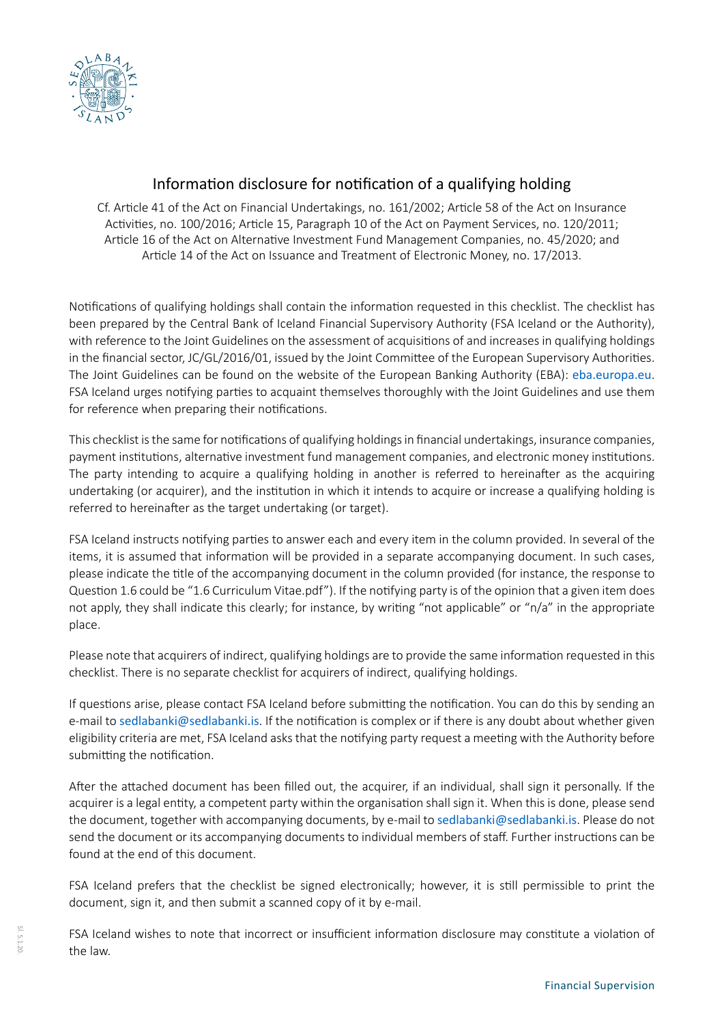

# Information disclosure for notification of a qualifying holding

Cf. Article 41 of the Act on Financial Undertakings, no. 161/2002; Article 58 of the Act on Insurance Activities, no. 100/2016; Article 15, Paragraph 10 of the Act on Payment Services, no. 120/2011; Article 16 of the Act on Alternative Investment Fund Management Companies, no. 45/2020; and Article 14 of the Act on Issuance and Treatment of Electronic Money, no. 17/2013.

Notifications of qualifying holdings shall contain the information requested in this checklist. The checklist has been prepared by the Central Bank of Iceland Financial Supervisory Authority (FSA Iceland or the Authority), with reference to the Joint Guidelines on the assessment of acquisitions of and increases in qualifying holdings in the financial sector, JC/GL/2016/01, issued by the Joint Committee of the European Supervisory Authorities. The Joint Guidelines can be found on the website of the European Banking Authority (EBA): [eba.europa.eu](https://eba.europa.eu/regulation-and-policy/other-topics/joint-guidelines-for-the-prudential-assessment-of-acquisitions-of-qualifying-holdings). FSA Iceland urges notifying parties to acquaint themselves thoroughly with the Joint Guidelines and use them for reference when preparing their notifications.

This checklist is the same for notifications of qualifying holdings in financial undertakings, insurance companies, payment institutions, alternative investment fund management companies, and electronic money institutions. The party intending to acquire a qualifying holding in another is referred to hereinafter as the acquiring undertaking (or acquirer), and the institution in which it intends to acquire or increase a qualifying holding is referred to hereinafter as the target undertaking (or target).

FSA Iceland instructs notifying parties to answer each and every item in the column provided. In several of the items, it is assumed that information will be provided in a separate accompanying document. In such cases, please indicate the title of the accompanying document in the column provided (for instance, the response to Question 1.6 could be "1.6 Curriculum Vitae.pdf"). If the notifying party is of the opinion that a given item does not apply, they shall indicate this clearly; for instance, by writing "not applicable" or "n/a" in the appropriate place.

Please note that acquirers of indirect, qualifying holdings are to provide the same information requested in this checklist. There is no separate checklist for acquirers of indirect, qualifying holdings.

If questions arise, please contact FSA Iceland before submitting the notification. You can do this by sending an e-mail to sedlabanki[@sedlabanki.is](mailto:sedlabanki%40sedlabanki.is?subject=). If the notification is complex or if there is any doubt about whether given eligibility criteria are met, FSA Iceland asks that the notifying party request a meeting with the Authority before submitting the notification.

After the attached document has been filled out, the acquirer, if an individual, shall sign it personally. If the acquirer is a legal entity, a competent party within the organisation shall sign it. When this is done, please send the document, together with accompanying documents, by e-mail to sedlabank[i@sedlabanki.is](mailto:sedlabanki%40sedlabanki.is?subject=). Please do not send the document or its accompanying documents to individual members of staff. Further instructions can be found at the end of this document.

FSA Iceland prefers that the checklist be signed electronically; however, it is still permissible to print the document, sign it, and then submit a scanned copy of it by e-mail.

FSA Iceland wishes to note that incorrect or insufficient information disclosure may constitute a violation of the law.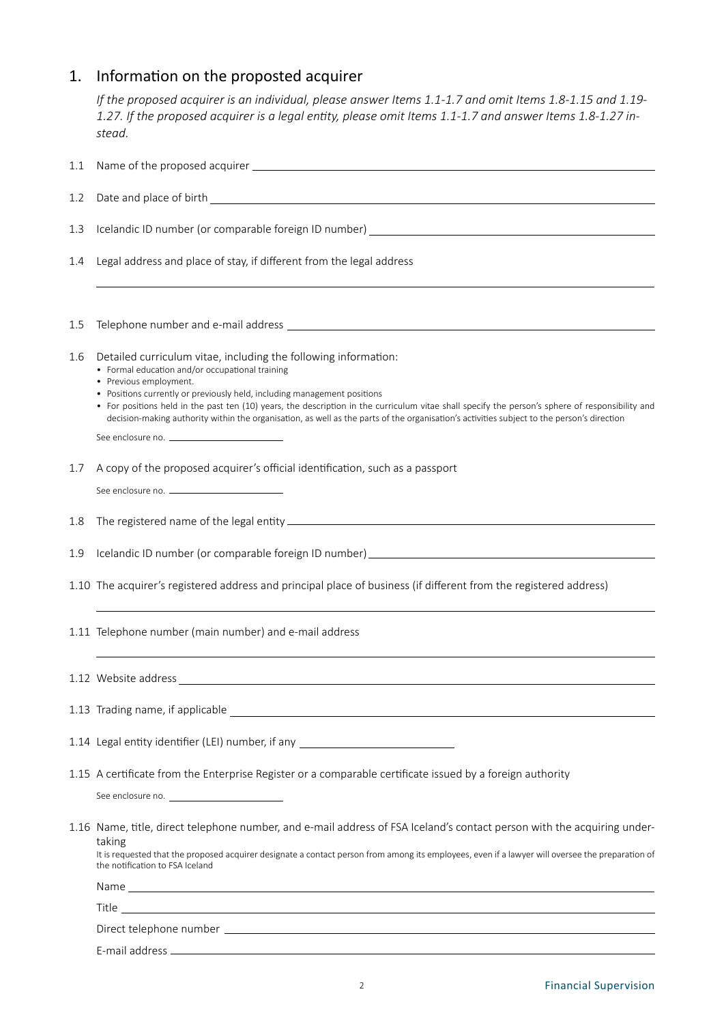# 1. Information on the proposted acquirer

*If the proposed acquirer is an individual, please answer Items 1.1-1.7 and omit Items 1.8-1.15 and 1.19- 1.27. If the proposed acquirer is a legal entity, please omit Items 1.1-1.7 and answer Items 1.8-1.27 instead.*

| $1.1\,$ |                                                                                                                                                                                                                                                                                                                                                                                                                                                                                                                            |
|---------|----------------------------------------------------------------------------------------------------------------------------------------------------------------------------------------------------------------------------------------------------------------------------------------------------------------------------------------------------------------------------------------------------------------------------------------------------------------------------------------------------------------------------|
| 1.2     |                                                                                                                                                                                                                                                                                                                                                                                                                                                                                                                            |
| 1.3     |                                                                                                                                                                                                                                                                                                                                                                                                                                                                                                                            |
| 1.4     | Legal address and place of stay, if different from the legal address                                                                                                                                                                                                                                                                                                                                                                                                                                                       |
| 1.5     |                                                                                                                                                                                                                                                                                                                                                                                                                                                                                                                            |
| 1.6     | Detailed curriculum vitae, including the following information:<br>• Formal education and/or occupational training<br>• Previous employment.<br>• Positions currently or previously held, including management positions<br>• For positions held in the past ten (10) years, the description in the curriculum vitae shall specify the person's sphere of responsibility and<br>decision-making authority within the organisation, as well as the parts of the organisation's activities subject to the person's direction |
| 1.7     | A copy of the proposed acquirer's official identification, such as a passport<br>See enclosure no. _______________________________                                                                                                                                                                                                                                                                                                                                                                                         |
| 1.8     |                                                                                                                                                                                                                                                                                                                                                                                                                                                                                                                            |
| 1.9     |                                                                                                                                                                                                                                                                                                                                                                                                                                                                                                                            |
|         | 1.10 The acquirer's registered address and principal place of business (if different from the registered address)                                                                                                                                                                                                                                                                                                                                                                                                          |
|         | 1.11 Telephone number (main number) and e-mail address                                                                                                                                                                                                                                                                                                                                                                                                                                                                     |
|         |                                                                                                                                                                                                                                                                                                                                                                                                                                                                                                                            |
|         |                                                                                                                                                                                                                                                                                                                                                                                                                                                                                                                            |
|         | 1.14 Legal entity identifier (LEI) number, if any                                                                                                                                                                                                                                                                                                                                                                                                                                                                          |
|         | 1.15 A certificate from the Enterprise Register or a comparable certificate issued by a foreign authority                                                                                                                                                                                                                                                                                                                                                                                                                  |
|         | 1.16 Name, title, direct telephone number, and e-mail address of FSA Iceland's contact person with the acquiring under-<br>taking<br>It is requested that the proposed acquirer designate a contact person from among its employees, even if a lawyer will oversee the preparation of<br>the notification to FSA Iceland                                                                                                                                                                                                   |
|         |                                                                                                                                                                                                                                                                                                                                                                                                                                                                                                                            |
|         |                                                                                                                                                                                                                                                                                                                                                                                                                                                                                                                            |
|         |                                                                                                                                                                                                                                                                                                                                                                                                                                                                                                                            |
|         |                                                                                                                                                                                                                                                                                                                                                                                                                                                                                                                            |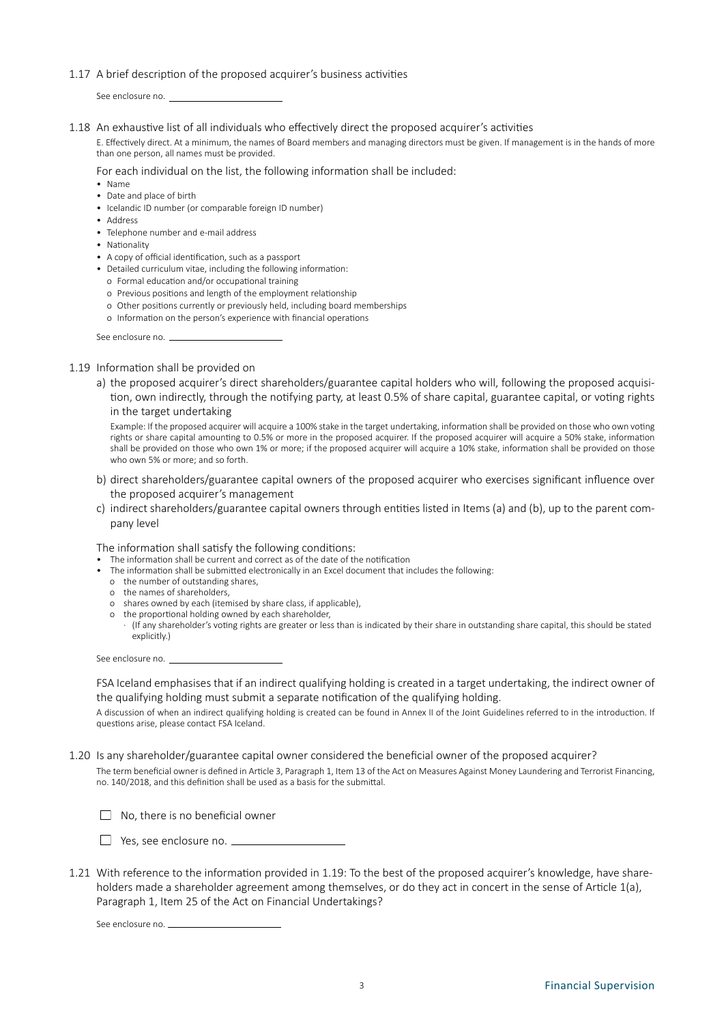### 1.17 A brief description of the proposed acquirer's business activities

See enclosure no.

1.18 An exhaustive list of all individuals who effectively direct the proposed acquirer's activities

E. Effectively direct. At a minimum, the names of Board members and managing directors must be given. If management is in the hands of more than one person, all names must be provided.

For each individual on the list, the following information shall be included:

- Name
- Date and place of birth
- Icelandic ID number (or comparable foreign ID number)
- Address
- Telephone number and e-mail address
- Nationality
- A copy of official identification, such as a passport
- Detailed curriculum vitae, including the following information:
	- o Formal education and/or occupational training
	- o Previous positions and length of the employment relationship
	- o Other positions currently or previously held, including board memberships
	- o Information on the person's experience with financial operations

See enclosure no.

### 1.19 Information shall be provided on

a) the proposed acquirer's direct shareholders/guarantee capital holders who will, following the proposed acquisition, own indirectly, through the notifying party, at least 0.5% of share capital, guarantee capital, or voting rights in the target undertaking

Example: If the proposed acquirer will acquire a 100% stake in the target undertaking, information shall be provided on those who own voting rights or share capital amounting to 0.5% or more in the proposed acquirer. If the proposed acquirer will acquire a 50% stake, information shall be provided on those who own 1% or more; if the proposed acquirer will acquire a 10% stake, information shall be provided on those who own 5% or more; and so forth.

- b) direct shareholders/guarantee capital owners of the proposed acquirer who exercises significant influence over the proposed acquirer's management
- c) indirect shareholders/guarantee capital owners through entities listed in Items (a) and (b), up to the parent company level

The information shall satisfy the following conditions:

- The information shall be current and correct as of the date of the notification
- The information shall be submitted electronically in an Excel document that includes the following:
	- o the number of outstanding shares,
	- o the names of shareholders,
	- o shares owned by each (itemised by share class, if applicable),
	- o the proportional holding owned by each shareholder,
	- · (If any shareholder's voting rights are greater or less than is indicated by their share in outstanding share capital, this should be stated explicitly.)

See enclosure no.

FSA Iceland emphasises that if an indirect qualifying holding is created in a target undertaking, the indirect owner of the qualifying holding must submit a separate notification of the qualifying holding.

A discussion of when an indirect qualifying holding is created can be found in Annex II of the Joint Guidelines referred to in the introduction. If questions arise, please contact FSA Iceland.

1.20 Is any shareholder/guarantee capital owner considered the beneficial owner of the proposed acquirer?

The term beneficial owner is defined in Article 3, Paragraph 1, Item 13 of the Act on Measures Against Money Laundering and Terrorist Financing, no. 140/2018, and this definition shall be used as a basis for the submittal.



□ Yes, see enclosure no. <u></u>

1.21 With reference to the information provided in 1.19: To the best of the proposed acquirer's knowledge, have shareholders made a shareholder agreement among themselves, or do they act in concert in the sense of Article 1(a), Paragraph 1, Item 25 of the Act on Financial Undertakings?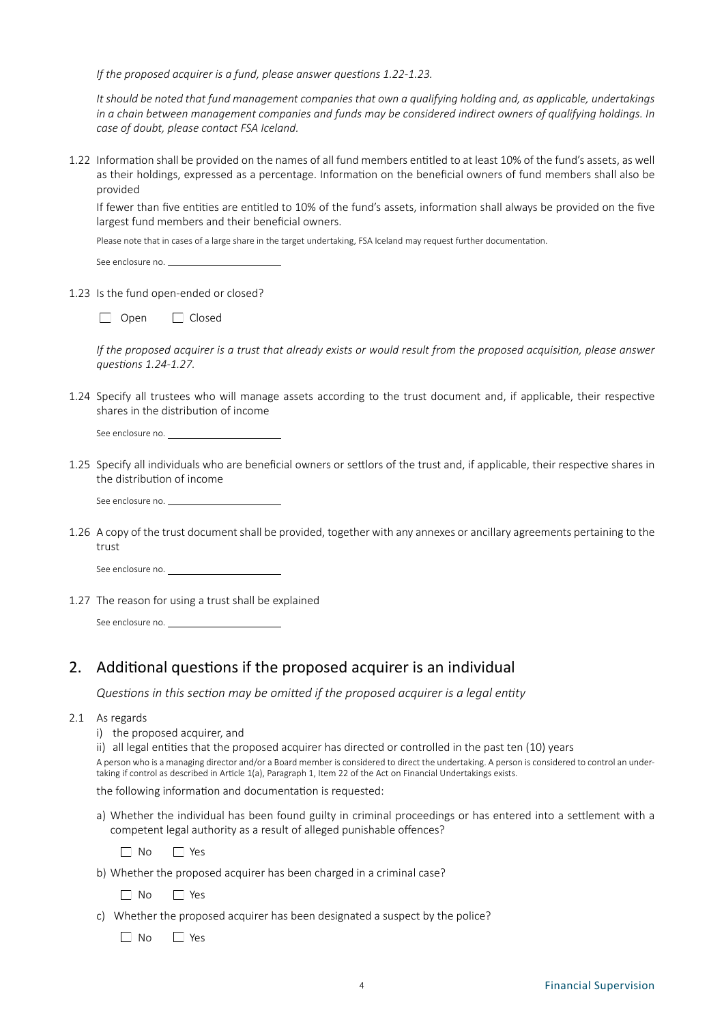*If the proposed acquirer is a fund, please answer questions 1.22-1.23.*

*It should be noted that fund management companies that own a qualifying holding and, as applicable, undertakings in a chain between management companies and funds may be considered indirect owners of qualifying holdings. In case of doubt, please contact FSA Iceland.*

1.22 Information shall be provided on the names of all fund members entitled to at least 10% of the fund's assets, as well as their holdings, expressed as a percentage. Information on the beneficial owners of fund members shall also be provided

If fewer than five entities are entitled to 10% of the fund's assets, information shall always be provided on the five largest fund members and their beneficial owners.

Please note that in cases of a large share in the target undertaking, FSA Iceland may request further documentation.

| See enclosure no. |  |
|-------------------|--|
|                   |  |

1.23 Is the fund open-ended or closed?

| Open | Closed |
|------|--------|
|      |        |

*If the proposed acquirer is a trust that already exists or would result from the proposed acquisition, please answer questions 1.24-1.27.*

1.24 Specify all trustees who will manage assets according to the trust document and, if applicable, their respective shares in the distribution of income

See enclosure no.

1.25 Specify all individuals who are beneficial owners or settlors of the trust and, if applicable, their respective shares in the distribution of income

See enclosure no.

1.26 A copy of the trust document shall be provided, together with any annexes or ancillary agreements pertaining to the trust

See enclosure no.

1.27 The reason for using a trust shall be explained

See enclosure no.

### 2. Additional questions if the proposed acquirer is an individual

*Questions in this section may be omitted if the proposed acquirer is a legal entity*

- 2.1 As regards
	- i) the proposed acquirer, and

ii) all legal entities that the proposed acquirer has directed or controlled in the past ten (10) years

A person who is a managing director and/or a Board member is considered to direct the undertaking. A person is considered to control an undertaking if control as described in Article 1(a), Paragraph 1, Item 22 of the Act on Financial Undertakings exists.

the following information and documentation is requested:

a) Whether the individual has been found guilty in criminal proceedings or has entered into a settlement with a competent legal authority as a result of alleged punishable offences?

No PYes

b) Whether the proposed acquirer has been charged in a criminal case?

No P Yes

c) Whether the proposed acquirer has been designated a suspect by the police?

No Pres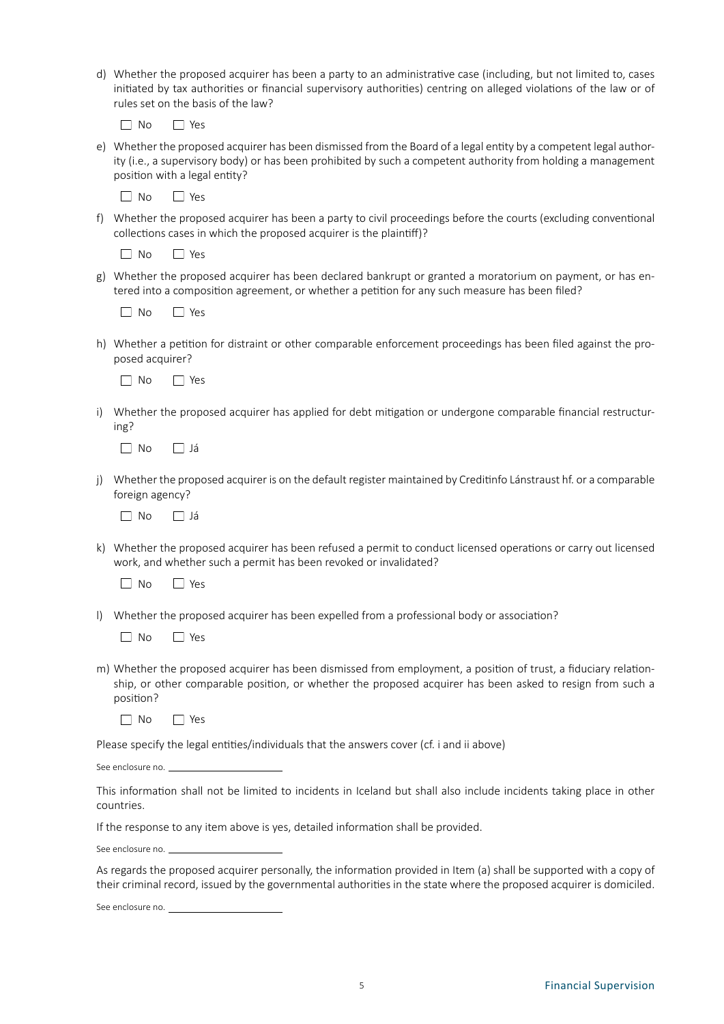d) Whether the proposed acquirer has been a party to an administrative case (including, but not limited to, cases initiated by tax authorities or financial supervisory authorities) centring on alleged violations of the law or of rules set on the basis of the law?

 $\Box$  No  $\Box$  Yes

e) Whether the proposed acquirer has been dismissed from the Board of a legal entity by a competent legal authority (i.e., a supervisory body) or has been prohibited by such a competent authority from holding a management position with a legal entity?

 $\Box$  No  $\Box$  Yes

f) Whether the proposed acquirer has been a party to civil proceedings before the courts (excluding conventional collections cases in which the proposed acquirer is the plaintiff)?

■ No ■ Yes

g) Whether the proposed acquirer has been declared bankrupt or granted a moratorium on payment, or has entered into a composition agreement, or whether a petition for any such measure has been filed?

No Yes

h) Whether a petition for distraint or other comparable enforcement proceedings has been filed against the proposed acquirer?

 $\Box$  No  $\Box$  Yes

i) Whether the proposed acquirer has applied for debt mitigation or undergone comparable financial restructuring?

 $\Box$  No  $\Box$  Já

j) Whether the proposed acquirer is on the default register maintained by Creditinfo Lánstraust hf. or a comparable foreign agency?

 $\Box$  No  $\Box$  Já

k) Whether the proposed acquirer has been refused a permit to conduct licensed operations or carry out licensed work, and whether such a permit has been revoked or invalidated?

■ No ■ Yes

l) Whether the proposed acquirer has been expelled from a professional body or association?

No PYes

m) Whether the proposed acquirer has been dismissed from employment, a position of trust, a fiduciary relationship, or other comparable position, or whether the proposed acquirer has been asked to resign from such a position?

 $\Box$  No  $\Box$  Yes

Please specify the legal entities/individuals that the answers cover (cf. i and ii above)

See enclosure no.

This information shall not be limited to incidents in Iceland but shall also include incidents taking place in other countries.

If the response to any item above is yes, detailed information shall be provided.

See enclosure no.

As regards the proposed acquirer personally, the information provided in Item (a) shall be supported with a copy of their criminal record, issued by the governmental authorities in the state where the proposed acquirer is domiciled.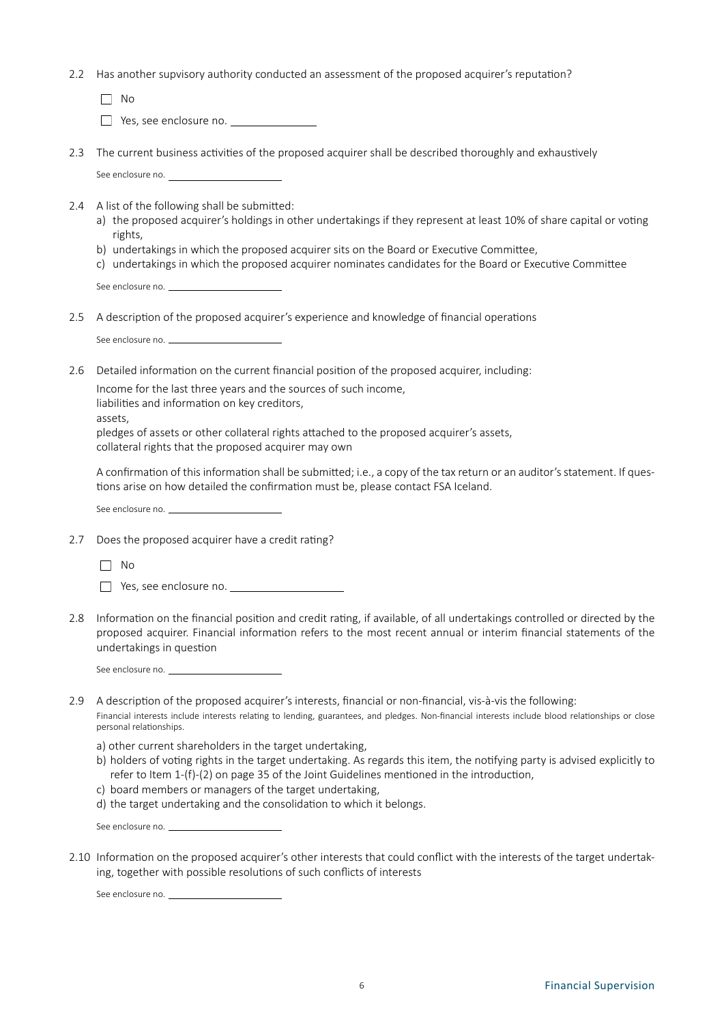2.2 Has another supvisory authority conducted an assessment of the proposed acquirer's reputation?

 $\Box$  No

Yes, see enclosure no.

- 2.3 The current business activities of the proposed acquirer shall be described thoroughly and exhaustively See enclosure no.
- 2.4 A list of the following shall be submitted:
	- a) the proposed acquirer's holdings in other undertakings if they represent at least 10% of share capital or voting rights,
	- b) undertakings in which the proposed acquirer sits on the Board or Executive Committee,
	- c) undertakings in which the proposed acquirer nominates candidates for the Board or Executive Committee

See enclosure no.

2.5 A description of the proposed acquirer's experience and knowledge of financial operations

See enclosure no.

2.6 Detailed information on the current financial position of the proposed acquirer, including:

Income for the last three years and the sources of such income,

liabilities and information on key creditors,

assets,

pledges of assets or other collateral rights attached to the proposed acquirer's assets, collateral rights that the proposed acquirer may own

A confirmation of this information shall be submitted; i.e., a copy of the tax return or an auditor's statement. If questions arise on how detailed the confirmation must be, please contact FSA Iceland.

See enclosure no.

2.7 Does the proposed acquirer have a credit rating?

No

Yes, see enclosure no.

- 2.8 Information on the financial position and credit rating, if available, of all undertakings controlled or directed by the proposed acquirer. Financial information refers to the most recent annual or interim financial statements of the undertakings in question
	- See enclosure no.
- 2.9 A description of the proposed acquirer's interests, financial or non-financial, vis-à-vis the following: Financial interests include interests relating to lending, guarantees, and pledges. Non-financial interests include blood relationships or close personal relationships.
	- a) other current shareholders in the target undertaking,
	- b) holders of voting rights in the target undertaking. As regards this item, the notifying party is advised explicitly to refer to Item 1-(f)-(2) on page 35 of the Joint Guidelines mentioned in the introduction,
	- c) board members or managers of the target undertaking,
	- d) the target undertaking and the consolidation to which it belongs.

See enclosure no.

2.10 Information on the proposed acquirer's other interests that could conflict with the interests of the target undertaking, together with possible resolutions of such conflicts of interests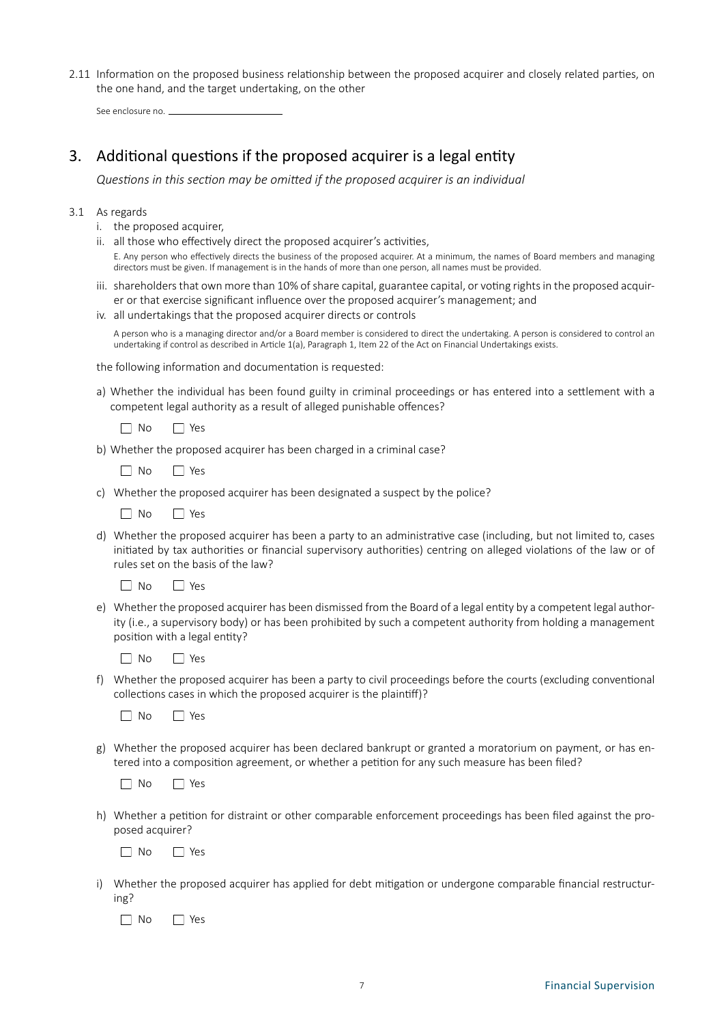2.11 Information on the proposed business relationship between the proposed acquirer and closely related parties, on the one hand, and the target undertaking, on the other

See enclosure no.

### 3. Additional questions if the proposed acquirer is a legal entity

*Questions in this section may be omitted if the proposed acquirer is an individual*

### 3.1 As regards

- i. the proposed acquirer,
- ii. all those who effectively direct the proposed acquirer's activities, E. Any person who effectively directs the business of the proposed acquirer. At a minimum, the names of Board members and managing directors must be given. If management is in the hands of more than one person, all names must be provided.
- iii. shareholders that own more than 10% of share capital, guarantee capital, or voting rights in the proposed acquirer or that exercise significant influence over the proposed acquirer's management; and
- iv. all undertakings that the proposed acquirer directs or controls

A person who is a managing director and/or a Board member is considered to direct the undertaking. A person is considered to control an undertaking if control as described in Article 1(a), Paragraph 1, Item 22 of the Act on Financial Undertakings exists.

the following information and documentation is requested:

a) Whether the individual has been found guilty in criminal proceedings or has entered into a settlement with a competent legal authority as a result of alleged punishable offences?

No Yes

- b) Whether the proposed acquirer has been charged in a criminal case?
	- No Yes
- c) Whether the proposed acquirer has been designated a suspect by the police?

No Yes

d) Whether the proposed acquirer has been a party to an administrative case (including, but not limited to, cases initiated by tax authorities or financial supervisory authorities) centring on alleged violations of the law or of rules set on the basis of the law?

 $\n  $\square$  No  $\square$  Yes$ 

e) Whether the proposed acquirer has been dismissed from the Board of a legal entity by a competent legal authority (i.e., a supervisory body) or has been prohibited by such a competent authority from holding a management position with a legal entity?

No Yes

f) Whether the proposed acquirer has been a party to civil proceedings before the courts (excluding conventional collections cases in which the proposed acquirer is the plaintiff)?



g) Whether the proposed acquirer has been declared bankrupt or granted a moratorium on payment, or has entered into a composition agreement, or whether a petition for any such measure has been filed?

□ No □ Yes

h) Whether a petition for distraint or other comparable enforcement proceedings has been filed against the proposed acquirer?

No PYes

i) Whether the proposed acquirer has applied for debt mitigation or undergone comparable financial restructuring?

 $\neg$  No  $\neg$  Yes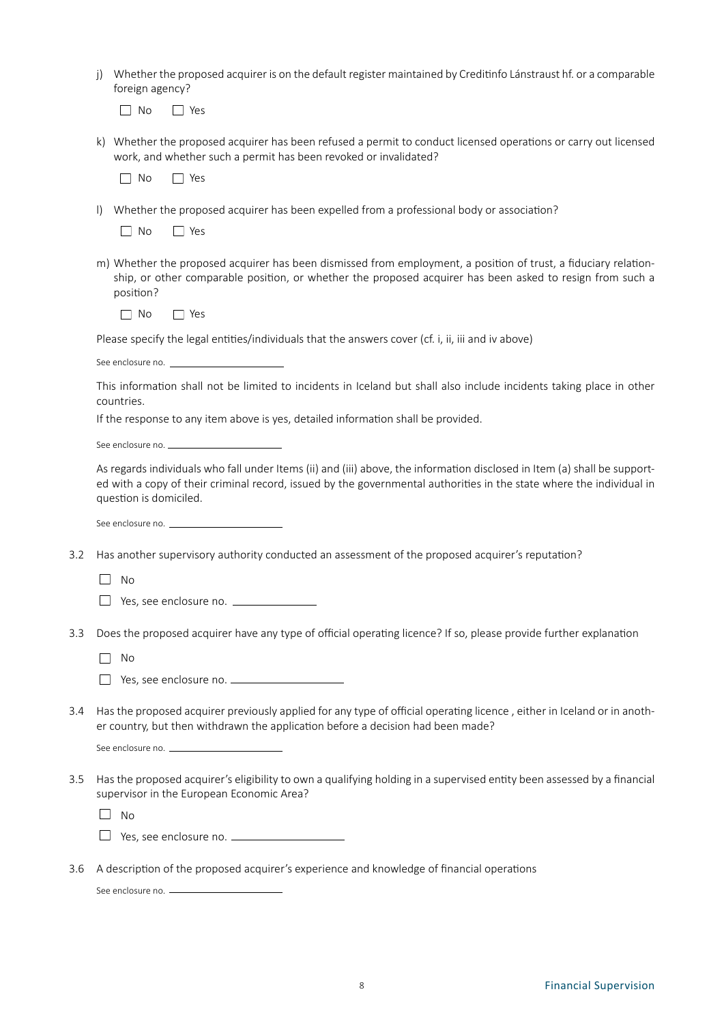j) Whether the proposed acquirer is on the default register maintained by Creditinfo Lánstraust hf. or a comparable foreign agency?

No **No** Yes

k) Whether the proposed acquirer has been refused a permit to conduct licensed operations or carry out licensed work, and whether such a permit has been revoked or invalidated?

No Yes

- l) Whether the proposed acquirer has been expelled from a professional body or association?
	- No Yes
- m) Whether the proposed acquirer has been dismissed from employment, a position of trust, a fiduciary relationship, or other comparable position, or whether the proposed acquirer has been asked to resign from such a position?

No PYes

Please specify the legal entities/individuals that the answers cover (cf. i, ii, iii and iv above)

See enclosure no. \_\_

This information shall not be limited to incidents in Iceland but shall also include incidents taking place in other countries.

If the response to any item above is yes, detailed information shall be provided.

See enclosure no.

As regards individuals who fall under Items (ii) and (iii) above, the information disclosed in Item (a) shall be supported with a copy of their criminal record, issued by the governmental authorities in the state where the individual in question is domiciled.

See enclosure no.

3.2 Has another supervisory authority conducted an assessment of the proposed acquirer's reputation?

No

□ Yes, see enclosure no. <u>■ ■ Yese</u>

3.3 Does the proposed acquirer have any type of official operating licence? If so, please provide further explanation

No

Yes, see enclosure no.

3.4 Has the proposed acquirer previously applied for any type of official operating licence , either in Iceland or in another country, but then withdrawn the application before a decision had been made?

See enclosure no.

3.5 Has the proposed acquirer's eligibility to own a qualifying holding in a supervised entity been assessed by a financial supervisor in the European Economic Area?

 $\square$  No

- □ Yes, see enclosure no. <u>□ □ □ □ □ □ □ □ □ □</u>
- 3.6 A description of the proposed acquirer's experience and knowledge of financial operations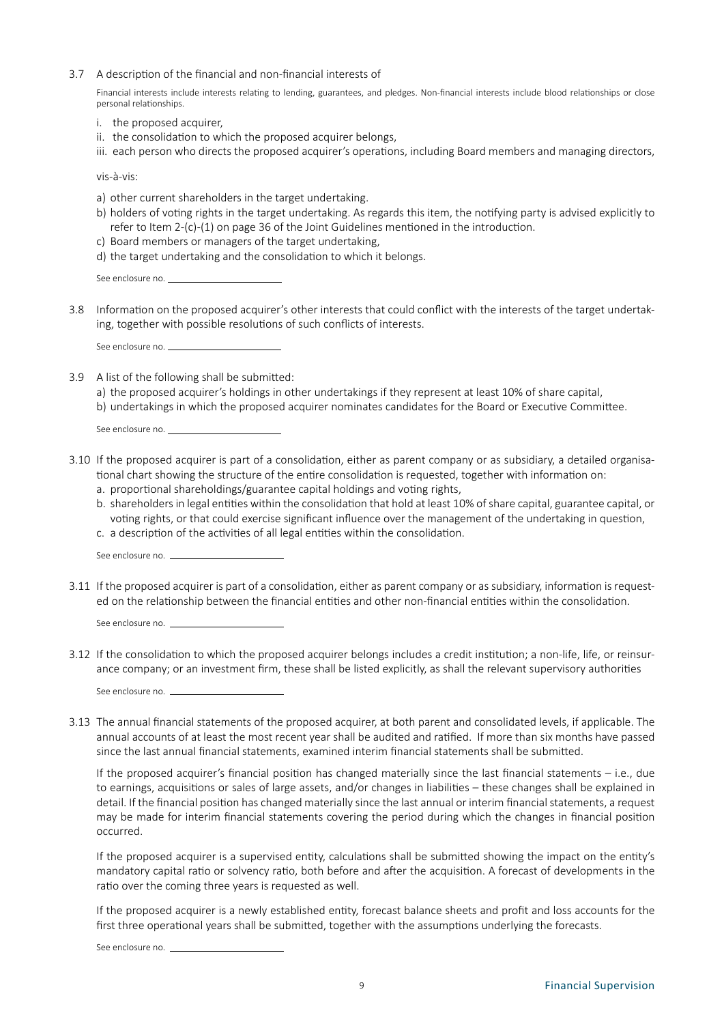3.7 A description of the financial and non-financial interests of

Financial interests include interests relating to lending, guarantees, and pledges. Non-financial interests include blood relationships or close personal relationships.

- i. the proposed acquirer,
- ii. the consolidation to which the proposed acquirer belongs,
- iii. each person who directs the proposed acquirer's operations, including Board members and managing directors,

vis-à-vis:

- a) other current shareholders in the target undertaking.
- b) holders of voting rights in the target undertaking. As regards this item, the notifying party is advised explicitly to refer to Item 2-(c)-(1) on page 36 of the Joint Guidelines mentioned in the introduction.
- c) Board members or managers of the target undertaking,
- d) the target undertaking and the consolidation to which it belongs.

See enclosure no.

3.8 Information on the proposed acquirer's other interests that could conflict with the interests of the target undertaking, together with possible resolutions of such conflicts of interests.

See enclosure no.

3.9 A list of the following shall be submitted:

a) the proposed acquirer's holdings in other undertakings if they represent at least 10% of share capital, b) undertakings in which the proposed acquirer nominates candidates for the Board or Executive Committee.

See enclosure no.

- 3.10 If the proposed acquirer is part of a consolidation, either as parent company or as subsidiary, a detailed organisational chart showing the structure of the entire consolidation is requested, together with information on:
	- a. proportional shareholdings/guarantee capital holdings and voting rights,
	- b. shareholders in legal entities within the consolidation that hold at least 10% of share capital, guarantee capital, or voting rights, or that could exercise significant influence over the management of the undertaking in question,
	- c. a description of the activities of all legal entities within the consolidation.

See enclosure no.

3.11 If the proposed acquirer is part of a consolidation, either as parent company or as subsidiary, information is requested on the relationship between the financial entities and other non-financial entities within the consolidation.

See enclosure no. \_

3.12 If the consolidation to which the proposed acquirer belongs includes a credit institution; a non-life, life, or reinsurance company; or an investment firm, these shall be listed explicitly, as shall the relevant supervisory authorities

See enclosure no. \_

3.13 The annual financial statements of the proposed acquirer, at both parent and consolidated levels, if applicable. The annual accounts of at least the most recent year shall be audited and ratified. If more than six months have passed since the last annual financial statements, examined interim financial statements shall be submitted.

If the proposed acquirer's financial position has changed materially since the last financial statements – i.e., due to earnings, acquisitions or sales of large assets, and/or changes in liabilities – these changes shall be explained in detail. If the financial position has changed materially since the last annual or interim financial statements, a request may be made for interim financial statements covering the period during which the changes in financial position occurred.

If the proposed acquirer is a supervised entity, calculations shall be submitted showing the impact on the entity's mandatory capital ratio or solvency ratio, both before and after the acquisition. A forecast of developments in the ratio over the coming three years is requested as well.

If the proposed acquirer is a newly established entity, forecast balance sheets and profit and loss accounts for the first three operational years shall be submitted, together with the assumptions underlying the forecasts.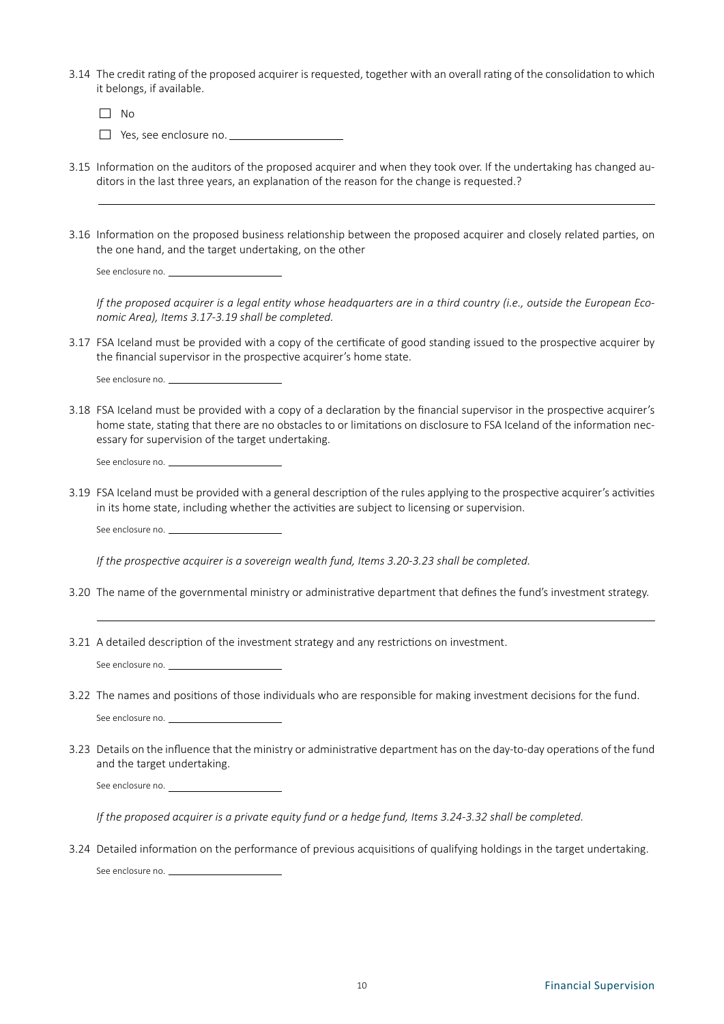3.14 The credit rating of the proposed acquirer is requested, together with an overall rating of the consolidation to which it belongs, if available.

 $\Box$  No □ Yes, see enclosure no. <u></u>

- 3.15 Information on the auditors of the proposed acquirer and when they took over. If the undertaking has changed auditors in the last three years, an explanation of the reason for the change is requested.?
- 3.16 Information on the proposed business relationship between the proposed acquirer and closely related parties, on the one hand, and the target undertaking, on the other

See enclosure no. \_\_

*If the proposed acquirer is a legal entity whose headquarters are in a third country (i.e., outside the European Economic Area), Items 3.17-3.19 shall be completed.*

3.17 FSA Iceland must be provided with a copy of the certificate of good standing issued to the prospective acquirer by the financial supervisor in the prospective acquirer's home state.

See enclosure no.

3.18 FSA Iceland must be provided with a copy of a declaration by the financial supervisor in the prospective acquirer's home state, stating that there are no obstacles to or limitations on disclosure to FSA Iceland of the information necessary for supervision of the target undertaking.

See enclosure no.

3.19 FSA Iceland must be provided with a general description of the rules applying to the prospective acquirer's activities in its home state, including whether the activities are subject to licensing or supervision.

See enclosure no.

*If the prospective acquirer is a sovereign wealth fund, Items 3.20-3.23 shall be completed.*

- 3.20 The name of the governmental ministry or administrative department that defines the fund's investment strategy.
- 3.21 A detailed description of the investment strategy and any restrictions on investment.

See enclosure no.

3.22 The names and positions of those individuals who are responsible for making investment decisions for the fund.

See enclosure no. \_\_

3.23 Details on the influence that the ministry or administrative department has on the day-to-day operations of the fund and the target undertaking.

See enclosure no.

*If the proposed acquirer is a private equity fund or a hedge fund, Items 3.24-3.32 shall be completed.*

3.24 Detailed information on the performance of previous acquisitions of qualifying holdings in the target undertaking. See enclosure no.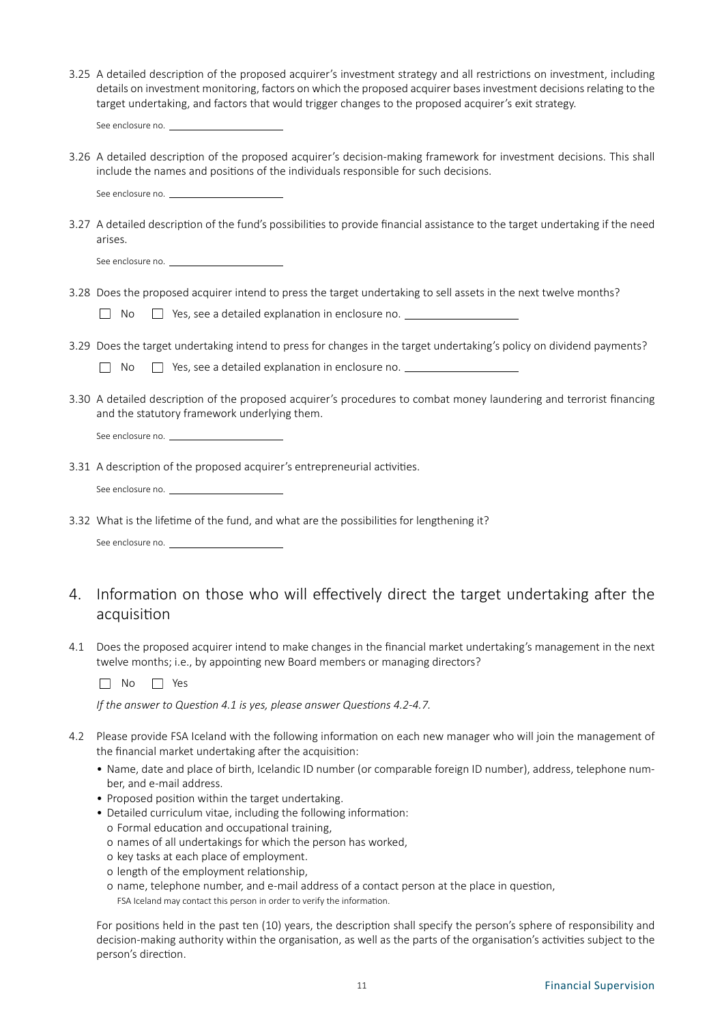- 3.25 A detailed description of the proposed acquirer's investment strategy and all restrictions on investment, including details on investment monitoring, factors on which the proposed acquirer bases investment decisions relating to the target undertaking, and factors that would trigger changes to the proposed acquirer's exit strategy.
	- See enclosure no. \_
- 3.26 A detailed description of the proposed acquirer's decision-making framework for investment decisions. This shall include the names and positions of the individuals responsible for such decisions.

See enclosure no. \_

3.27 A detailed description of the fund's possibilities to provide financial assistance to the target undertaking if the need arises.

| See enclosure no |  |
|------------------|--|
|                  |  |

3.28 Does the proposed acquirer intend to press the target undertaking to sell assets in the next twelve months?

|  | $\Box$ No $\Box$ Yes, see a detailed explanation in enclosure no. |  |
|--|-------------------------------------------------------------------|--|
|  |                                                                   |  |

3.29 Does the target undertaking intend to press for changes in the target undertaking's policy on dividend payments?

 $\Box$  No  $\Box$  Yes, see a detailed explanation in enclosure no.  $\Box$ 

3.30 A detailed description of the proposed acquirer's procedures to combat money laundering and terrorist financing and the statutory framework underlying them.

See enclosure no.

3.31 A description of the proposed acquirer's entrepreneurial activities.

See enclosure no.

3.32 What is the lifetime of the fund, and what are the possibilities for lengthening it?

See enclosure no.

### 4. Information on those who will effectively direct the target undertaking after the acquisition

4.1 Does the proposed acquirer intend to make changes in the financial market undertaking's management in the next twelve months; i.e., by appointing new Board members or managing directors?

No 3 Yes

*If the answer to Question 4.1 is yes, please answer Questions 4.2-4.7.*

- 4.2 Please provide FSA Iceland with the following information on each new manager who will join the management of the financial market undertaking after the acquisition:
	- Name, date and place of birth, Icelandic ID number (or comparable foreign ID number), address, telephone number, and e-mail address.
	- Proposed position within the target undertaking.
	- Detailed curriculum vitae, including the following information:
		- o Formal education and occupational training,
		- o names of all undertakings for which the person has worked,
		- o key tasks at each place of employment.
		- o length of the employment relationship,
		- o name, telephone number, and e-mail address of a contact person at the place in question,

FSA Iceland may contact this person in order to verify the information.

For positions held in the past ten (10) years, the description shall specify the person's sphere of responsibility and decision-making authority within the organisation, as well as the parts of the organisation's activities subject to the person's direction.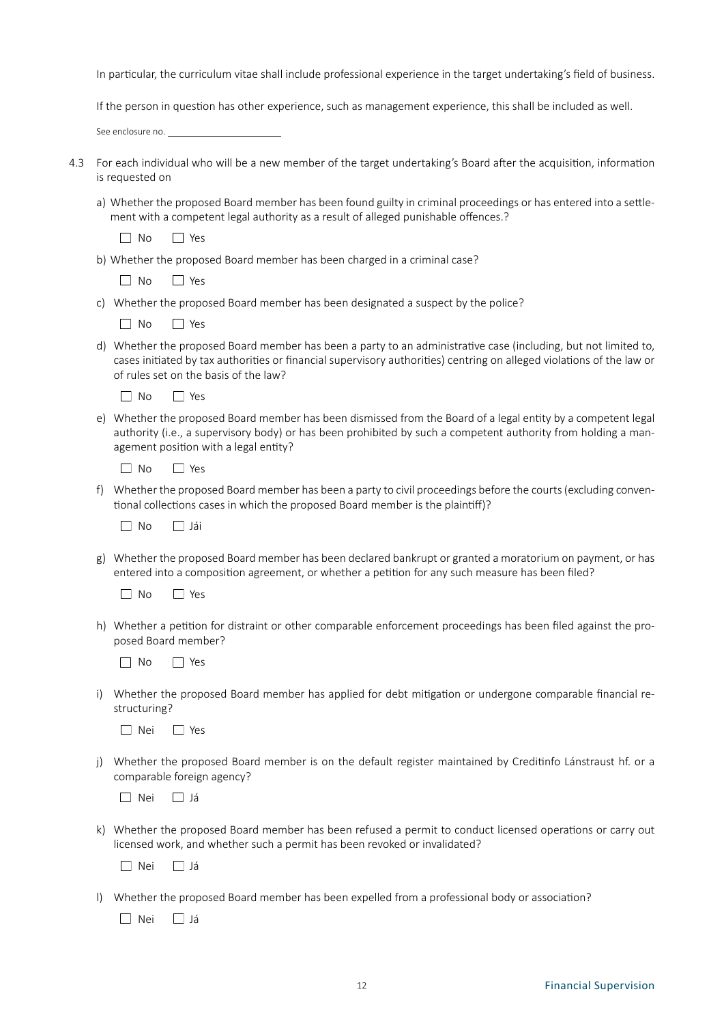In particular, the curriculum vitae shall include professional experience in the target undertaking's field of business.

If the person in question has other experience, such as management experience, this shall be included as well.

See enclosure no.

| 4.3 For each individual who will be a new member of the target undertaking's Board after the acquisition, information |
|-----------------------------------------------------------------------------------------------------------------------|
| is reauested on                                                                                                       |

a) Whether the proposed Board member has been found guilty in criminal proceedings or has entered into a settlement with a competent legal authority as a result of alleged punishable offences.?

| Nο | $\sim$ |
|----|--------|
|    |        |
|    |        |
|    |        |

- b) Whether the proposed Board member has been charged in a criminal case?
	- $\Box$  No  $\Box$  Yes
- c) Whether the proposed Board member has been designated a suspect by the police?
	- $\n  $\square$  No  $\square$  Yes$
- d) Whether the proposed Board member has been a party to an administrative case (including, but not limited to, cases initiated by tax authorities or financial supervisory authorities) centring on alleged violations of the law or of rules set on the basis of the law?

 $\neg$  No  $\neg$  Yes

e) Whether the proposed Board member has been dismissed from the Board of a legal entity by a competent legal authority (i.e., a supervisory body) or has been prohibited by such a competent authority from holding a management position with a legal entity?

| $\Omega$<br>∖ |  |
|---------------|--|
|---------------|--|

f) Whether the proposed Board member has been a party to civil proceedings before the courts (excluding conventional collections cases in which the proposed Board member is the plaintiff)?

| N٥ | iai |
|----|-----|
|    |     |

g) Whether the proposed Board member has been declared bankrupt or granted a moratorium on payment, or has entered into a composition agreement, or whether a petition for any such measure has been filed?

 $\n  $\square$  No  $\square$  Yes$ 

- h) Whether a petition for distraint or other comparable enforcement proceedings has been filed against the proposed Board member?
	- $\Box$  No  $\Box$  Yes
- i) Whether the proposed Board member has applied for debt mitigation or undergone comparable financial restructuring?

Nei Yes

j) Whether the proposed Board member is on the default register maintained by Creditinfo Lánstraust hf. or a comparable foreign agency?

Nei Já

k) Whether the proposed Board member has been refused a permit to conduct licensed operations or carry out licensed work, and whether such a permit has been revoked or invalidated?

Nei Já

l) Whether the proposed Board member has been expelled from a professional body or association?

 $\Box$  Nei  $\Box$  Já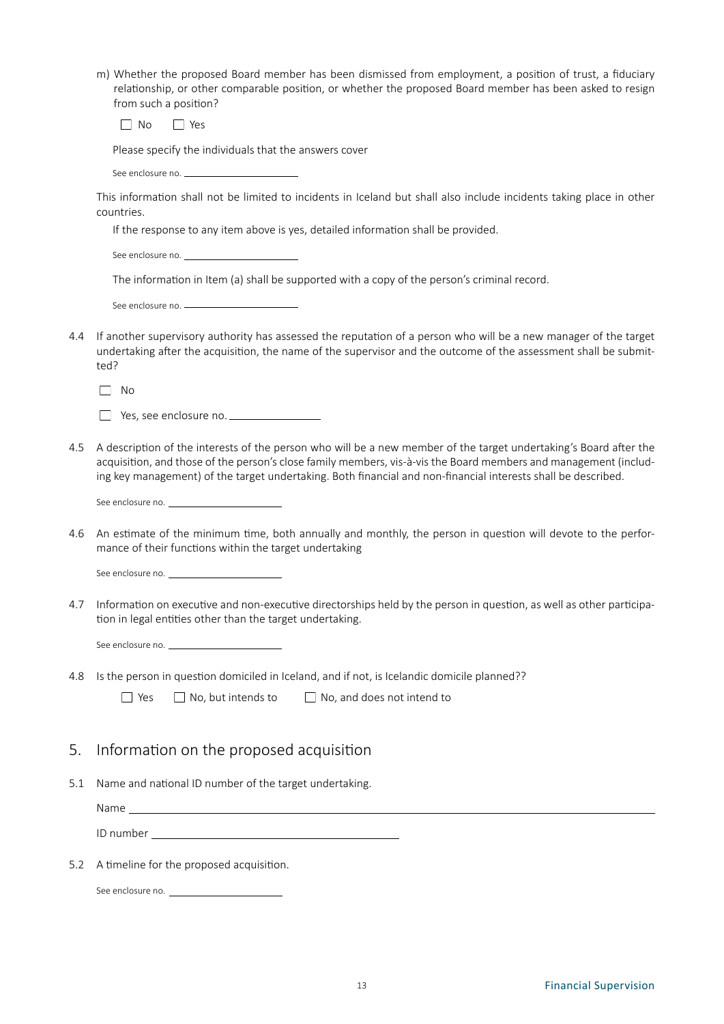| m) Whether the proposed Board member has been dismissed from employment, a position of trust, a fiduciary |
|-----------------------------------------------------------------------------------------------------------|
| relationship, or other comparable position, or whether the proposed Board member has been asked to resign |
| from such a position?                                                                                     |

No PYes

Please specify the individuals that the answers cover

See enclosure no. \_\_

This information shall not be limited to incidents in Iceland but shall also include incidents taking place in other countries.

If the response to any item above is yes, detailed information shall be provided.

See enclosure no.

The information in Item (a) shall be supported with a copy of the person's criminal record.

| See enclosure no. |
|-------------------|
|                   |

4.4 If another supervisory authority has assessed the reputation of a person who will be a new manager of the target undertaking after the acquisition, the name of the supervisor and the outcome of the assessment shall be submitted?

 $\Box$  No

| $\Box$ Yes, see enclosure no. |  |
|-------------------------------|--|
|                               |  |

- 4.5 A description of the interests of the person who will be a new member of the target undertaking's Board after the acquisition, and those of the person's close family members, vis-à-vis the Board members and management (including key management) of the target undertaking. Both financial and non-financial interests shall be described.
	- See enclosure no.
- 4.6 An estimate of the minimum time, both annually and monthly, the person in question will devote to the performance of their functions within the target undertaking

See enclosure no.

- 4.7 Information on executive and non-executive directorships held by the person in question, as well as other participation in legal entities other than the target undertaking.
	- See enclosure no. \_\_
- 4.8 Is the person in question domiciled in Iceland, and if not, is Icelandic domicile planned??
	- $\Box$  Yes  $\Box$  No, but intends to  $\Box$  No, and does not intend to

### 5. Information on the proposed acquisition

5.1 Name and national ID number of the target undertaking.

Name

ID number

5.2 A timeline for the proposed acquisition.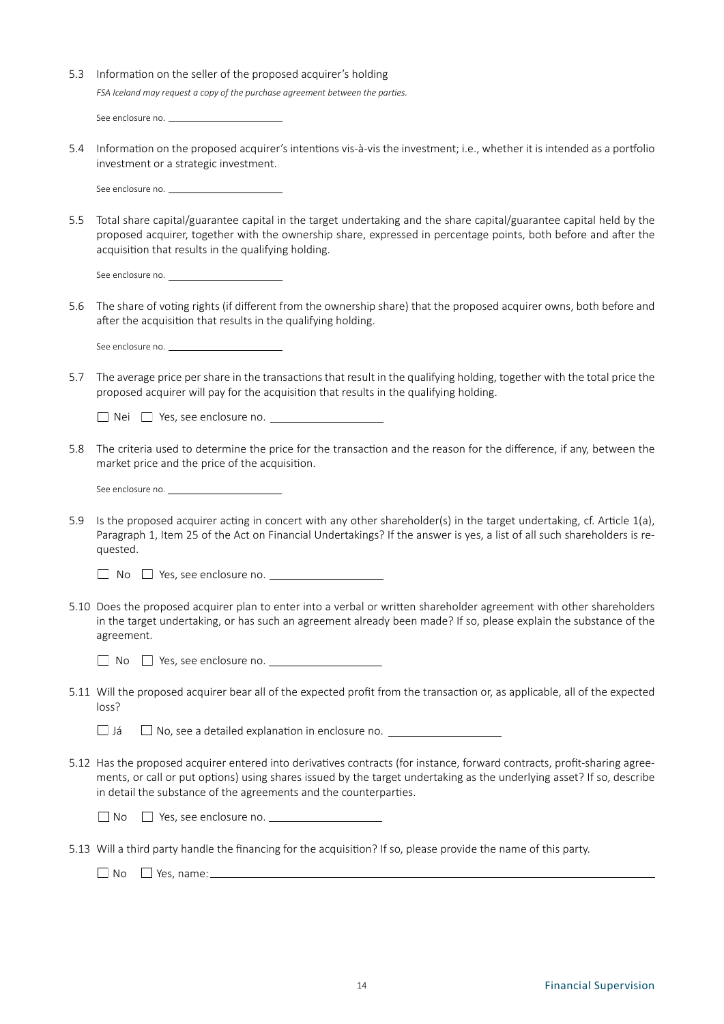| 5.3 Information on the seller of the proposed acquirer's holding              |
|-------------------------------------------------------------------------------|
| FSA Iceland may request a copy of the purchase agreement between the parties. |
|                                                                               |

- See enclosure no.
- 5.4 Information on the proposed acquirer's intentions vis-à-vis the investment; i.e., whether it is intended as a portfolio investment or a strategic investment.

See enclosure no. \_\_

5.5 Total share capital/guarantee capital in the target undertaking and the share capital/guarantee capital held by the proposed acquirer, together with the ownership share, expressed in percentage points, both before and after the acquisition that results in the qualifying holding.

5.6 The share of voting rights (if different from the ownership share) that the proposed acquirer owns, both before and after the acquisition that results in the qualifying holding.

See enclosure no. \_\_

5.7 The average price per share in the transactions that result in the qualifying holding, together with the total price the proposed acquirer will pay for the acquisition that results in the qualifying holding.

 $\Box$  Nei  $\Box$  Yes, see enclosure no.

5.8 The criteria used to determine the price for the transaction and the reason for the difference, if any, between the market price and the price of the acquisition.

See enclosure no.

5.9 Is the proposed acquirer acting in concert with any other shareholder(s) in the target undertaking, cf. Article 1(a), Paragraph 1, Item 25 of the Act on Financial Undertakings? If the answer is yes, a list of all such shareholders is requested.

 $\Box$  No  $\Box$  Yes, see enclosure no.

5.10 Does the proposed acquirer plan to enter into a verbal or written shareholder agreement with other shareholders in the target undertaking, or has such an agreement already been made? If so, please explain the substance of the agreement.

No Yes, see enclosure no.

5.11 Will the proposed acquirer bear all of the expected profit from the transaction or, as applicable, all of the expected loss?

 $\Box$  Já  $\Box$  No, see a detailed explanation in enclosure no.

5.12 Has the proposed acquirer entered into derivatives contracts (for instance, forward contracts, profit-sharing agreements, or call or put options) using shares issued by the target undertaking as the underlying asset? If so, describe in detail the substance of the agreements and the counterparties.

 $\Box$  No  $\Box$  Yes, see enclosure no.  $\Box$ 

5.13 Will a third party handle the financing for the acquisition? If so, please provide the name of this party.

 $\Box$  No  $\Box$  Yes, name: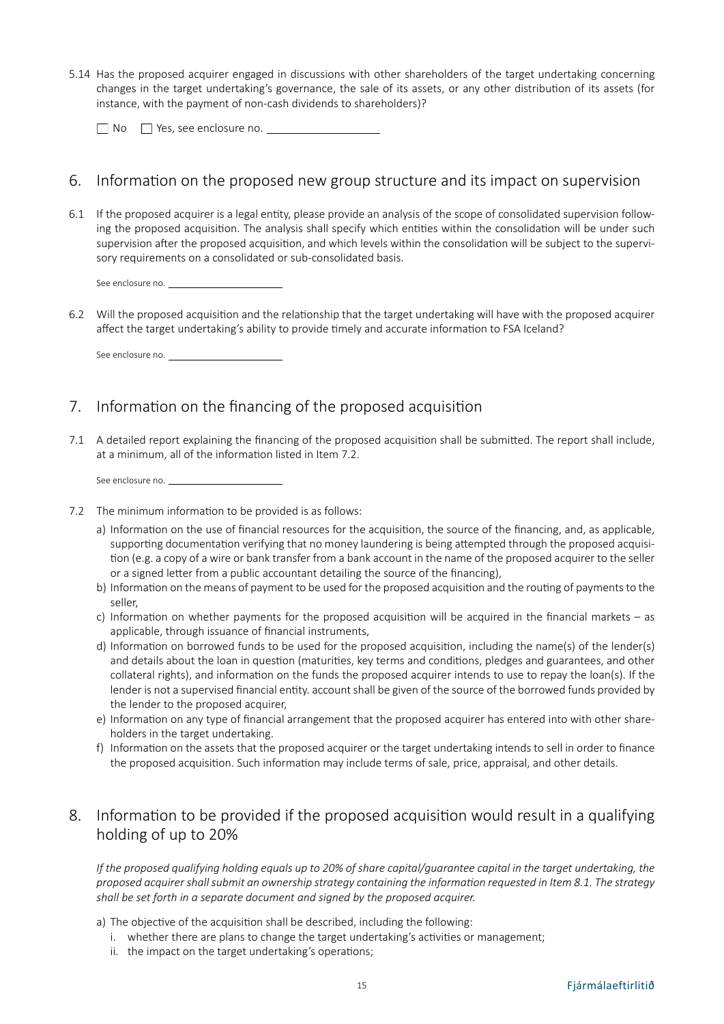5.14 Has the proposed acquirer engaged in discussions with other shareholders of the target undertaking concerning changes in the target undertaking's governance, the sale of its assets, or any other distribution of its assets (for instance, with the payment of non-cash dividends to shareholders)?

□ No □ Yes, see enclosure no. <u>●</u>

### 6. Information on the proposed new group structure and its impact on supervision

6.1 If the proposed acquirer is a legal entity, please provide an analysis of the scope of consolidated supervision following the proposed acquisition. The analysis shall specify which entities within the consolidation will be under such supervision after the proposed acquisition, and which levels within the consolidation will be subject to the supervisory requirements on a consolidated or sub-consolidated basis.

See enclosure no.

6.2 Will the proposed acquisition and the relationship that the target undertaking will have with the proposed acquirer affect the target undertaking's ability to provide timely and accurate information to FSA Iceland?

See enclosure no.

### 7. Information on the financing of the proposed acquisition

7.1 A detailed report explaining the financing of the proposed acquisition shall be submitted. The report shall include, at a minimum, all of the information listed in Item 7.2.

See enclosure no. \_

- 7.2 The minimum information to be provided is as follows:
	- a) Information on the use of financial resources for the acquisition, the source of the financing, and, as applicable, supporting documentation verifying that no money laundering is being attempted through the proposed acquisition (e.g. a copy of a wire or bank transfer from a bank account in the name of the proposed acquirer to the seller or a signed letter from a public accountant detailing the source of the financing),
	- b) Information on the means of payment to be used for the proposed acquisition and the routing of payments to the seller,
	- c) Information on whether payments for the proposed acquisition will be acquired in the financial markets as applicable, through issuance of financial instruments,
	- d) Information on borrowed funds to be used for the proposed acquisition, including the name(s) of the lender(s) and details about the loan in question (maturities, key terms and conditions, pledges and guarantees, and other collateral rights), and information on the funds the proposed acquirer intends to use to repay the loan(s). If the lender is not a supervised financial entity. account shall be given of the source of the borrowed funds provided by the lender to the proposed acquirer,
	- e) Information on any type of financial arrangement that the proposed acquirer has entered into with other shareholders in the target undertaking.
	- f) Information on the assets that the proposed acquirer or the target undertaking intends to sell in order to finance the proposed acquisition. Such information may include terms of sale, price, appraisal, and other details.

### 8. Information to be provided if the proposed acquisition would result in a qualifying holding of up to 20%

*If the proposed qualifying holding equals up to 20% of share capital/quarantee capital in the target undertaking, the proposed acquirer shall submit an ownership strategy containing the information requested in Item 8.1. The strategy shall be set forth in a separate document and signed by the proposed acquirer.*

- a) The objective of the acquisition shall be described, including the following:
	- i. whether there are plans to change the target undertaking's activities or management;
	- ii. the impact on the target undertaking's operations;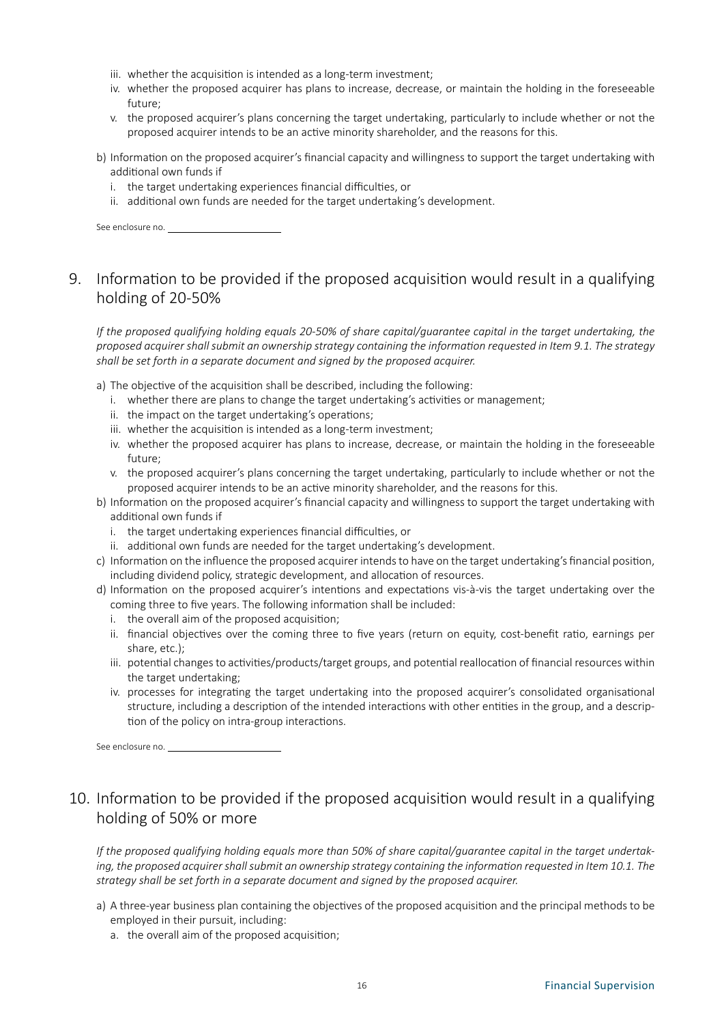- iii. whether the acquisition is intended as a long-term investment;
- iv. whether the proposed acquirer has plans to increase, decrease, or maintain the holding in the foreseeable future;
- v. the proposed acquirer's plans concerning the target undertaking, particularly to include whether or not the proposed acquirer intends to be an active minority shareholder, and the reasons for this.
- b) Information on the proposed acquirer's financial capacity and willingness to support the target undertaking with additional own funds if
	- i. the target undertaking experiences financial difficulties, or
	- ii. additional own funds are needed for the target undertaking's development.

See enclosure no.

## 9. Information to be provided if the proposed acquisition would result in a qualifying holding of 20-50%

*If the proposed qualifying holding equals 20-50% of share capital/guarantee capital in the target undertaking, the proposed acquirer shall submit an ownership strategy containing the information requested in Item 9.1. The strategy shall be set forth in a separate document and signed by the proposed acquirer.*

- a) The objective of the acquisition shall be described, including the following:
	- i. whether there are plans to change the target undertaking's activities or management;
	- ii. the impact on the target undertaking's operations;
	- iii. whether the acquisition is intended as a long-term investment;
	- iv. whether the proposed acquirer has plans to increase, decrease, or maintain the holding in the foreseeable future;
	- v. the proposed acquirer's plans concerning the target undertaking, particularly to include whether or not the proposed acquirer intends to be an active minority shareholder, and the reasons for this.
- b) Information on the proposed acquirer's financial capacity and willingness to support the target undertaking with additional own funds if
	- i. the target undertaking experiences financial difficulties, or
	- ii. additional own funds are needed for the target undertaking's development.
- c) Information on the influence the proposed acquirer intends to have on the target undertaking's financial position, including dividend policy, strategic development, and allocation of resources.
- d) Information on the proposed acquirer's intentions and expectations vis-à-vis the target undertaking over the coming three to five years. The following information shall be included:
	- i. the overall aim of the proposed acquisition;
	- ii. financial objectives over the coming three to five years (return on equity, cost-benefit ratio, earnings per share, etc.);
	- iii. potential changes to activities/products/target groups, and potential reallocation of financial resources within the target undertaking;
	- iv. processes for integrating the target undertaking into the proposed acquirer's consolidated organisational structure, including a description of the intended interactions with other entities in the group, and a description of the policy on intra-group interactions.

See enclosure no.

# 10. Information to be provided if the proposed acquisition would result in a qualifying holding of 50% or more

*If the proposed qualifying holding equals more than 50% of share capital/guarantee capital in the target undertaking, the proposed acquirer shall submit an ownership strategy containing the information requested in Item 10.1. The strategy shall be set forth in a separate document and signed by the proposed acquirer.*

- a) A three-year business plan containing the objectives of the proposed acquisition and the principal methods to be employed in their pursuit, including:
	- a. the overall aim of the proposed acquisition;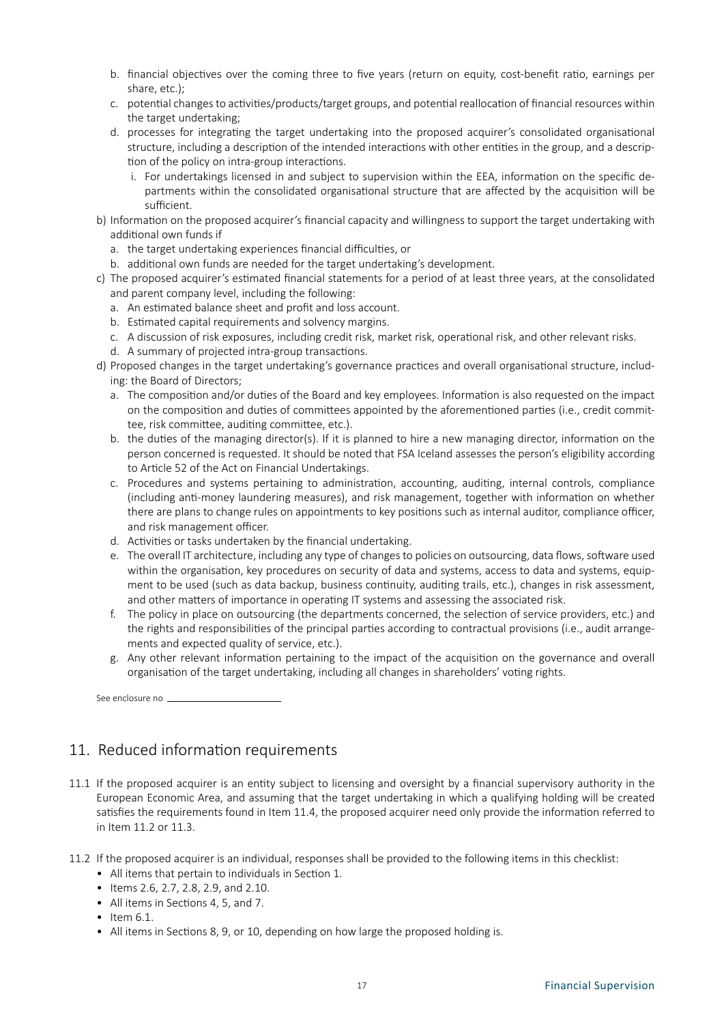- b. financial objectives over the coming three to five years (return on equity, cost-benefit ratio, earnings per share, etc.);
- c. potential changes to activities/products/target groups, and potential reallocation of financial resources within the target undertaking;
- d. processes for integrating the target undertaking into the proposed acquirer's consolidated organisational structure, including a description of the intended interactions with other entities in the group, and a description of the policy on intra-group interactions.
	- i. For undertakings licensed in and subject to supervision within the EEA, information on the specific departments within the consolidated organisational structure that are affected by the acquisition will be sufficient.
- b) Information on the proposed acquirer's financial capacity and willingness to support the target undertaking with additional own funds if
	- a. the target undertaking experiences financial difficulties, or
	- b. additional own funds are needed for the target undertaking's development.
- c) The proposed acquirer's estimated financial statements for a period of at least three years, at the consolidated and parent company level, including the following:
	- a. An estimated balance sheet and profit and loss account.
	- b. Estimated capital requirements and solvency margins.
	- c. A discussion of risk exposures, including credit risk, market risk, operational risk, and other relevant risks.
	- d. A summary of projected intra-group transactions.
- d) Proposed changes in the target undertaking's governance practices and overall organisational structure, including: the Board of Directors;
	- a. The composition and/or duties of the Board and key employees. Information is also requested on the impact on the composition and duties of committees appointed by the aforementioned parties (i.e., credit committee, risk committee, auditing committee, etc.).
	- b. the duties of the managing director(s). If it is planned to hire a new managing director, information on the person concerned is requested. It should be noted that FSA Iceland assesses the person's eligibility according to Article 52 of the Act on Financial Undertakings.
	- c. Procedures and systems pertaining to administration, accounting, auditing, internal controls, compliance (including anti-money laundering measures), and risk management, together with information on whether there are plans to change rules on appointments to key positions such as internal auditor, compliance officer, and risk management officer.
	- d. Activities or tasks undertaken by the financial undertaking.
	- e. The overall IT architecture, including any type of changes to policies on outsourcing, data flows, software used within the organisation, key procedures on security of data and systems, access to data and systems, equipment to be used (such as data backup, business continuity, auditing trails, etc.), changes in risk assessment, and other matters of importance in operating IT systems and assessing the associated risk.
	- f. The policy in place on outsourcing (the departments concerned, the selection of service providers, etc.) and the rights and responsibilities of the principal parties according to contractual provisions (i.e., audit arrangements and expected quality of service, etc.).
	- g. Any other relevant information pertaining to the impact of the acquisition on the governance and overall organisation of the target undertaking, including all changes in shareholders' voting rights.

See enclosure no

### 11. Reduced information requirements

- 11.1 If the proposed acquirer is an entity subject to licensing and oversight by a financial supervisory authority in the European Economic Area, and assuming that the target undertaking in which a qualifying holding will be created satisfies the requirements found in Item 11.4, the proposed acquirer need only provide the information referred to in Item 11.2 or 11.3.
- 11.2 If the proposed acquirer is an individual, responses shall be provided to the following items in this checklist:
	- All items that pertain to individuals in Section 1.
	- Items 2.6, 2.7, 2.8, 2.9, and 2.10.
	- All items in Sections 4, 5, and 7.
	- $\bullet$  Item 6.1.
	- All items in Sections 8, 9, or 10, depending on how large the proposed holding is.